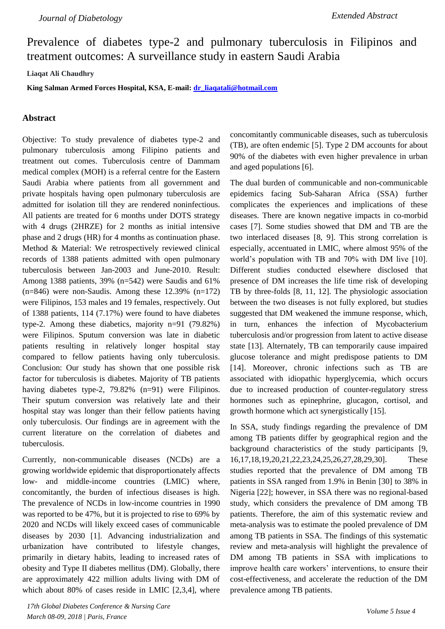Prevalence of diabetes type-2 and pulmonary tuberculosis in Filipinos and treatment outcomes: A surveillance study in eastern Saudi Arabia

**Liaqat Ali Chaudhry** 

**King Salman Armed Forces Hospital, KSA, E-mail: [dr\\_liaqatali@hotmail.com](../../dr_liaqatali@hotmail.com)**

## **Abstract**

Objective: To study prevalence of diabetes type-2 and pulmonary tuberculosis among Filipino patients and treatment out comes. Tuberculosis centre of Dammam medical complex (MOH) is a referral centre for the Eastern Saudi Arabia where patients from all government and private hospitals having open pulmonary tuberculosis are admitted for isolation till they are rendered noninfectious. All patients are treated for 6 months under DOTS strategy with 4 drugs (2HRZE) for 2 months as initial intensive phase and 2 drugs (HR) for 4 months as continuation phase. Method & Material: We retrospectively reviewed clinical records of 1388 patients admitted with open pulmonary tuberculosis between Jan-2003 and June-2010. Result: Among 1388 patients, 39% (n=542) were Saudis and 61%  $(n=846)$  were non-Saudis. Among these 12.39%  $(n=172)$ were Filipinos, 153 males and 19 females, respectively. Out of 1388 patients, 114 (7.17%) were found to have diabetes type-2. Among these diabetics, majority n=91 (79.82%) were Filipinos. Sputum conversion was late in diabetic patients resulting in relatively longer hospital stay compared to fellow patients having only tuberculosis. Conclusion: Our study has shown that one possible risk factor for tuberculosis is diabetes. Majority of TB patients having diabetes type-2, 79.82% (n=91) were Filipinos. Their sputum conversion was relatively late and their hospital stay was longer than their fellow patients having only tuberculosis. Our findings are in agreement with the current literature on the correlation of diabetes and tuberculosis.

Currently, non-communicable diseases (NCDs) are a growing worldwide epidemic that disproportionately affects low- and middle-income countries (LMIC) where, concomitantly, the burden of infectious diseases is high. The prevalence of NCDs in low-income countries in 1990 was reported to be 47%, but it is projected to rise to 69% by 2020 and NCDs will likely exceed cases of communicable diseases by 2030 [1]. Advancing industrialization and urbanization have contributed to lifestyle changes, primarily in dietary habits, leading to increased rates of obesity and Type II diabetes mellitus (DM). Globally, there are approximately 422 million adults living with DM of which about 80% of cases reside in LMIC [2,3,4], where

*17th Global Diabetes Conference & Nursing Care March 08-09, 2018 | Paris, France*

concomitantly communicable diseases, such as tuberculosis (TB), are often endemic [5]. Type 2 DM accounts for about 90% of the diabetes with even higher prevalence in urban and aged populations [6].

The dual burden of communicable and non-communicable epidemics facing Sub-Saharan Africa (SSA) further complicates the experiences and implications of these diseases. There are known negative impacts in co-morbid cases [7]. Some studies showed that DM and TB are the two interlaced diseases [8, 9]. This strong correlation is especially, accentuated in LMIC, where almost 95% of the world's population with TB and 70% with DM live [10]. Different studies conducted elsewhere disclosed that presence of DM increases the life time risk of developing TB by three-folds [8, 11, 12]. The physiologic association between the two diseases is not fully explored, but studies suggested that DM weakened the immune response, which, in turn, enhances the infection of Mycobacterium tuberculosis and/or progression from latent to active disease state [13]. Alternately, TB can temporarily cause impaired glucose tolerance and might predispose patients to DM [14]. Moreover, chronic infections such as TB are associated with idiopathic hyperglycemia, which occurs due to increased production of counter-regulatory stress hormones such as epinephrine, glucagon, cortisol, and growth hormone which act synergistically [15].

In SSA, study findings regarding the prevalence of DM among TB patients differ by geographical region and the background characteristics of the study participants [9, 16,17,18,19,20,21,22,23,24,25,26,27,28,29,30]. These studies reported that the prevalence of DM among TB patients in SSA ranged from 1.9% in Benin [30] to 38% in Nigeria [22]; however, in SSA there was no regional-based study, which considers the prevalence of DM among TB patients. Therefore, the aim of this systematic review and meta-analysis was to estimate the pooled prevalence of DM among TB patients in SSA. The findings of this systematic review and meta-analysis will highlight the prevalence of DM among TB patients in SSA with implications to improve health care workers' interventions, to ensure their cost-effectiveness, and accelerate the reduction of the DM prevalence among TB patients.